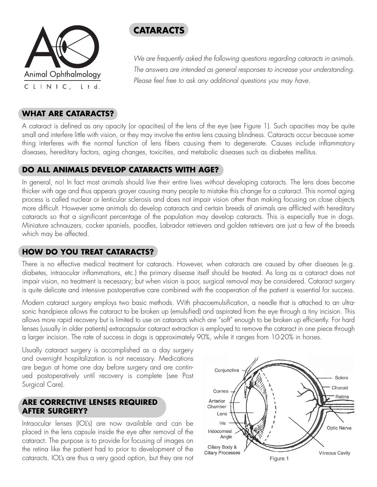

# **CATARACTS**

We are frequently asked the following questions regarding cataracts in animals. The answers are intended as general responses to increase your understanding. Please feel free to ask any additional questions you may have.

# **WHAT ARE CATARACTS?**

A cataract is defined as any opacity (or opacities) of the lens of the eye (see Figure 1). Such opacities may be quite small and interfere little with vision, or they may involve the entire lens causing blindness. Cataracts occur because something interferes with the normal function of lens fibers causing them to degenerate. Causes include inflammatory diseases, hereditary factors, aging changes, toxicities, and metabolic diseases such as diabetes mellitus.

# **DO ALL ANIMALS DEVELOP CATARACTS WITH AGE?**

In general, no! In fact most animals should live their entire lives without developing cataracts. The lens does become thicker with age and thus appears grayer causing many people to mistake this change for a cataract. This normal aging process is called nuclear or lenticular sclerosis and does not impair vision other than making focusing on close objects more difficult. However some animals do develop cataracts and certain breeds of animals are afflicted with hereditary cataracts so that a significant percentage of the population may develop cataracts. This is especially true in dogs. Miniature schnauzers, cocker spaniels, poodles, Labrador retrievers and golden retrievers are just a few of the breeds which may be affected.

# **HOW DO YOU TREAT CATARACTS?**

There is no effective medical treatment for cataracts. However, when cataracts are caused by other diseases (e.g. diabetes, intraocular inflammations, etc.) the primary disease itself should be treated. As long as a cataract does not impair vision, no treatment is necessary; but when vision is poor, surgical removal may be considered. Cataract surgery is quite delicate and intensive postoperative care combined with the cooperation of the patient is essential for success.

Modern cataract surgery employs two basic methods. With phacoemulsification, a needle that is attached to an ultrasonic handpiece allows the cataract to be broken up (emulsified) and aspirated from the eye through a tiny incision. This allows more rapid recovery but is limited to use on cataracts which are "soft" enough to be broken up efficiently. For hard lenses (usually in older patients) extracapsular cataract extraction is employed to remove the cataract in one piece through a larger incision. The rate of success in dogs is approximately 90%, while it ranges from 10-20% in horses.

Usually cataract surgery is accomplished as a day surgery and overnight hospitalization is not necessary. Medications are begun at home one day before surgery and are continued postoperatively until recovery is complete (see Post Surgical Care).

### **ARE CORRECTIVE LENSES REQUIRED AFTER SURGERY?**

Intraocular lenses (IOL's) are now available and can be placed in the lens capsule inside the eye after removal of the cataract. The purpose is to provide for focusing of images on the retina like the patient had to prior to development of the cataracts. IOL's are thus a very good option, but they are not